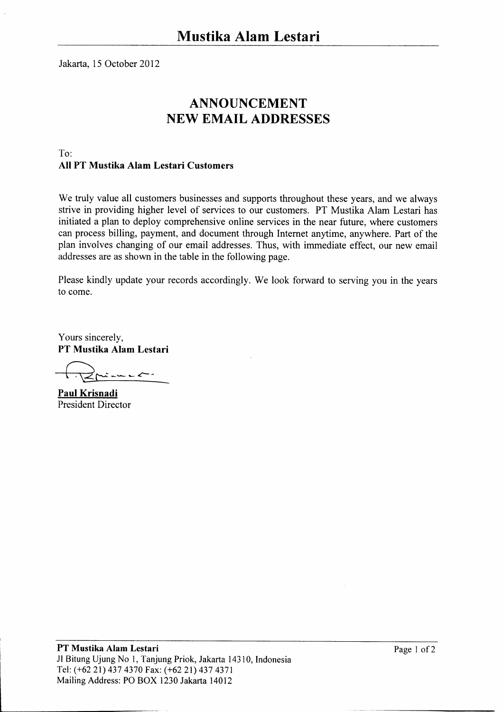Jakarta, 15 October 2012

## **ANNOUNCEMENT NEW EMAIL ADDRESSES**

## $T_0$ . All PT Mustika Alam Lestari Customers

We truly value all customers businesses and supports throughout these years, and we always strive in providing higher level of services to our customers. PT Mustika Alam Lestari has initiated a plan to deploy comprehensive online services in the near future, where customers can process billing, payment, and document through Internet anytime, anywhere. Part of the plan involves changing of our email addresses. Thus, with immediate effect, our new email addresses are as shown in the table in the following page.

Please kindly update your records accordingly. We look forward to serving you in the years to come.

Yours sincerely, PT Mustika Alam Lestari

interest

Paul Krisnadi **President Director**